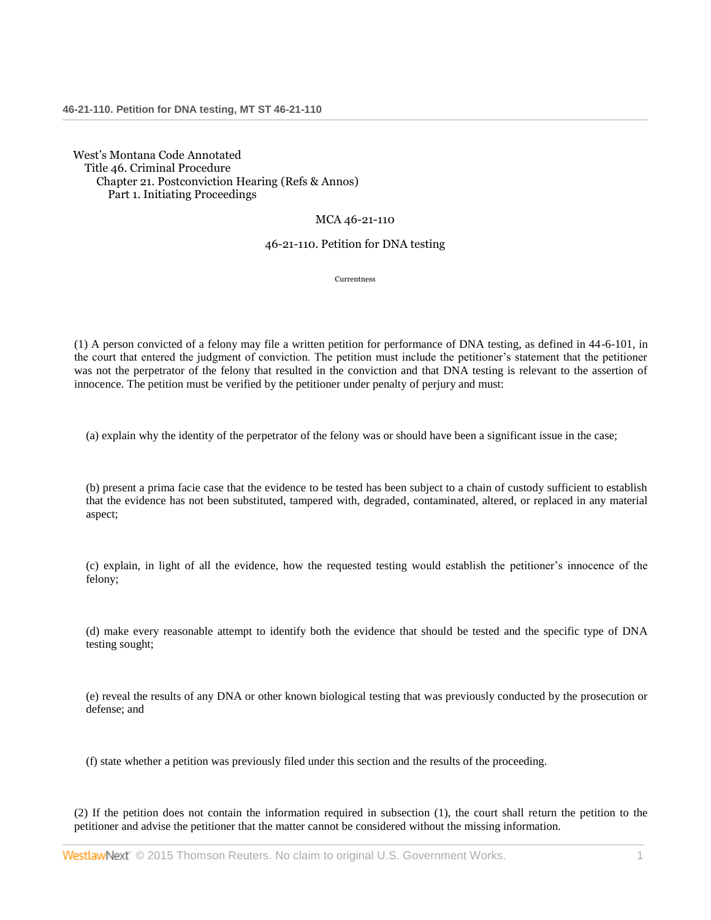West's Montana Code Annotated Title 46. Criminal Procedure Chapter 21. Postconviction Hearing (Refs & Annos) Part 1. Initiating Proceedings

## MCA 46-21-110

## 46-21-110. Petition for DNA testing

Currentness

(1) A person convicted of a felony may file a written petition for performance of DNA testing, as defined in 44-6-101, in the court that entered the judgment of conviction. The petition must include the petitioner's statement that the petitioner was not the perpetrator of the felony that resulted in the conviction and that DNA testing is relevant to the assertion of innocence. The petition must be verified by the petitioner under penalty of perjury and must:

(a) explain why the identity of the perpetrator of the felony was or should have been a significant issue in the case;

(b) present a prima facie case that the evidence to be tested has been subject to a chain of custody sufficient to establish that the evidence has not been substituted, tampered with, degraded, contaminated, altered, or replaced in any material aspect;

(c) explain, in light of all the evidence, how the requested testing would establish the petitioner's innocence of the felony;

(d) make every reasonable attempt to identify both the evidence that should be tested and the specific type of DNA testing sought;

(e) reveal the results of any DNA or other known biological testing that was previously conducted by the prosecution or defense; and

(f) state whether a petition was previously filed under this section and the results of the proceeding.

(2) If the petition does not contain the information required in subsection (1), the court shall return the petition to the petitioner and advise the petitioner that the matter cannot be considered without the missing information.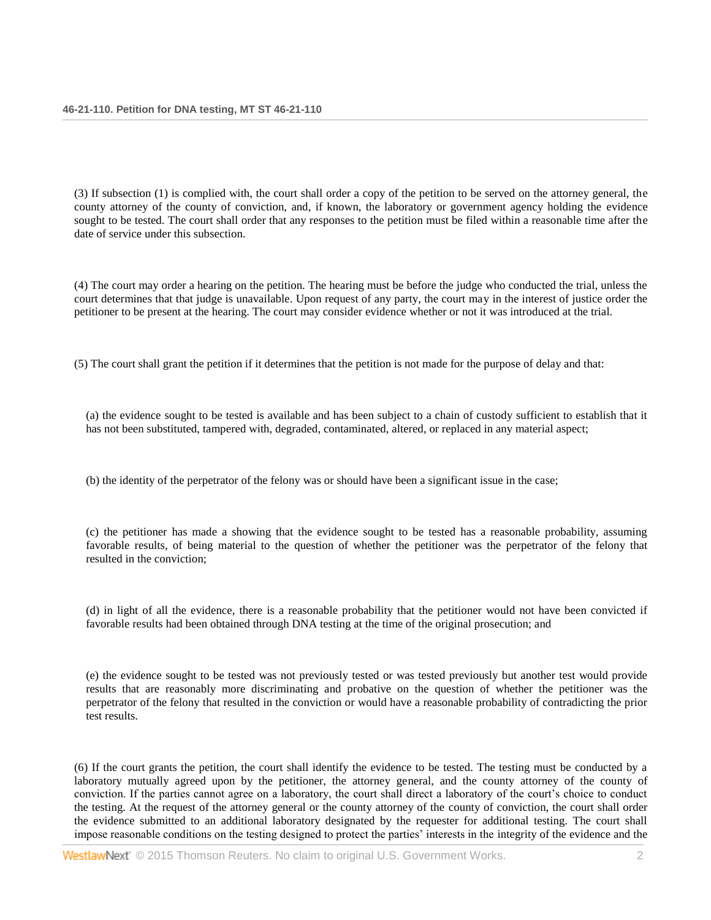(3) If subsection (1) is complied with, the court shall order a copy of the petition to be served on the attorney general, the county attorney of the county of conviction, and, if known, the laboratory or government agency holding the evidence sought to be tested. The court shall order that any responses to the petition must be filed within a reasonable time after the date of service under this subsection.

(4) The court may order a hearing on the petition. The hearing must be before the judge who conducted the trial, unless the court determines that that judge is unavailable. Upon request of any party, the court may in the interest of justice order the petitioner to be present at the hearing. The court may consider evidence whether or not it was introduced at the trial.

(5) The court shall grant the petition if it determines that the petition is not made for the purpose of delay and that:

(a) the evidence sought to be tested is available and has been subject to a chain of custody sufficient to establish that it has not been substituted, tampered with, degraded, contaminated, altered, or replaced in any material aspect;

(b) the identity of the perpetrator of the felony was or should have been a significant issue in the case;

(c) the petitioner has made a showing that the evidence sought to be tested has a reasonable probability, assuming favorable results, of being material to the question of whether the petitioner was the perpetrator of the felony that resulted in the conviction;

(d) in light of all the evidence, there is a reasonable probability that the petitioner would not have been convicted if favorable results had been obtained through DNA testing at the time of the original prosecution; and

(e) the evidence sought to be tested was not previously tested or was tested previously but another test would provide results that are reasonably more discriminating and probative on the question of whether the petitioner was the perpetrator of the felony that resulted in the conviction or would have a reasonable probability of contradicting the prior test results.

(6) If the court grants the petition, the court shall identify the evidence to be tested. The testing must be conducted by a laboratory mutually agreed upon by the petitioner, the attorney general, and the county attorney of the county of conviction. If the parties cannot agree on a laboratory, the court shall direct a laboratory of the court's choice to conduct the testing. At the request of the attorney general or the county attorney of the county of conviction, the court shall order the evidence submitted to an additional laboratory designated by the requester for additional testing. The court shall impose reasonable conditions on the testing designed to protect the parties' interests in the integrity of the evidence and the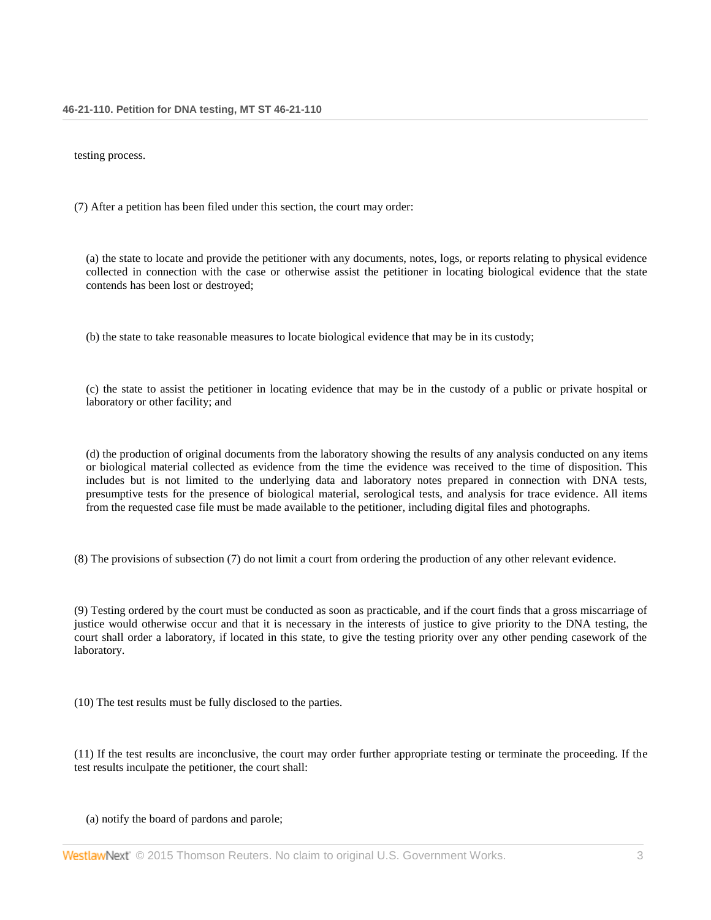testing process.

(7) After a petition has been filed under this section, the court may order:

(a) the state to locate and provide the petitioner with any documents, notes, logs, or reports relating to physical evidence collected in connection with the case or otherwise assist the petitioner in locating biological evidence that the state contends has been lost or destroyed;

(b) the state to take reasonable measures to locate biological evidence that may be in its custody;

(c) the state to assist the petitioner in locating evidence that may be in the custody of a public or private hospital or laboratory or other facility; and

(d) the production of original documents from the laboratory showing the results of any analysis conducted on any items or biological material collected as evidence from the time the evidence was received to the time of disposition. This includes but is not limited to the underlying data and laboratory notes prepared in connection with DNA tests, presumptive tests for the presence of biological material, serological tests, and analysis for trace evidence. All items from the requested case file must be made available to the petitioner, including digital files and photographs.

(8) The provisions of subsection (7) do not limit a court from ordering the production of any other relevant evidence.

(9) Testing ordered by the court must be conducted as soon as practicable, and if the court finds that a gross miscarriage of justice would otherwise occur and that it is necessary in the interests of justice to give priority to the DNA testing, the court shall order a laboratory, if located in this state, to give the testing priority over any other pending casework of the laboratory.

(10) The test results must be fully disclosed to the parties.

(11) If the test results are inconclusive, the court may order further appropriate testing or terminate the proceeding. If the test results inculpate the petitioner, the court shall:

## (a) notify the board of pardons and parole;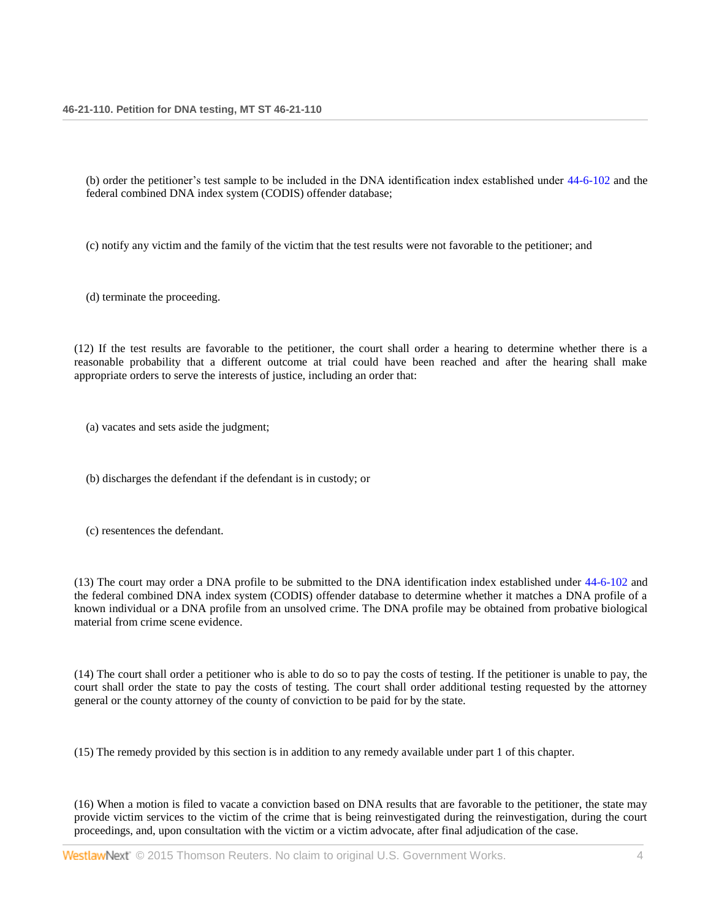(b) order the petitioner's test sample to be included in the DNA identification index established under 44-6-102 and the federal combined DNA index system (CODIS) offender database;

(c) notify any victim and the family of the victim that the test results were not favorable to the petitioner; and

(d) terminate the proceeding.

(12) If the test results are favorable to the petitioner, the court shall order a hearing to determine whether there is a reasonable probability that a different outcome at trial could have been reached and after the hearing shall make appropriate orders to serve the interests of justice, including an order that:

(a) vacates and sets aside the judgment;

(b) discharges the defendant if the defendant is in custody; or

(c) resentences the defendant.

(13) The court may order a DNA profile to be submitted to the DNA identification index established under 44-6-102 and the federal combined DNA index system (CODIS) offender database to determine whether it matches a DNA profile of a known individual or a DNA profile from an unsolved crime. The DNA profile may be obtained from probative biological material from crime scene evidence.

(14) The court shall order a petitioner who is able to do so to pay the costs of testing. If the petitioner is unable to pay, the court shall order the state to pay the costs of testing. The court shall order additional testing requested by the attorney general or the county attorney of the county of conviction to be paid for by the state.

(15) The remedy provided by this section is in addition to any remedy available under part 1 of this chapter.

(16) When a motion is filed to vacate a conviction based on DNA results that are favorable to the petitioner, the state may provide victim services to the victim of the crime that is being reinvestigated during the reinvestigation, during the court proceedings, and, upon consultation with the victim or a victim advocate, after final adjudication of the case.